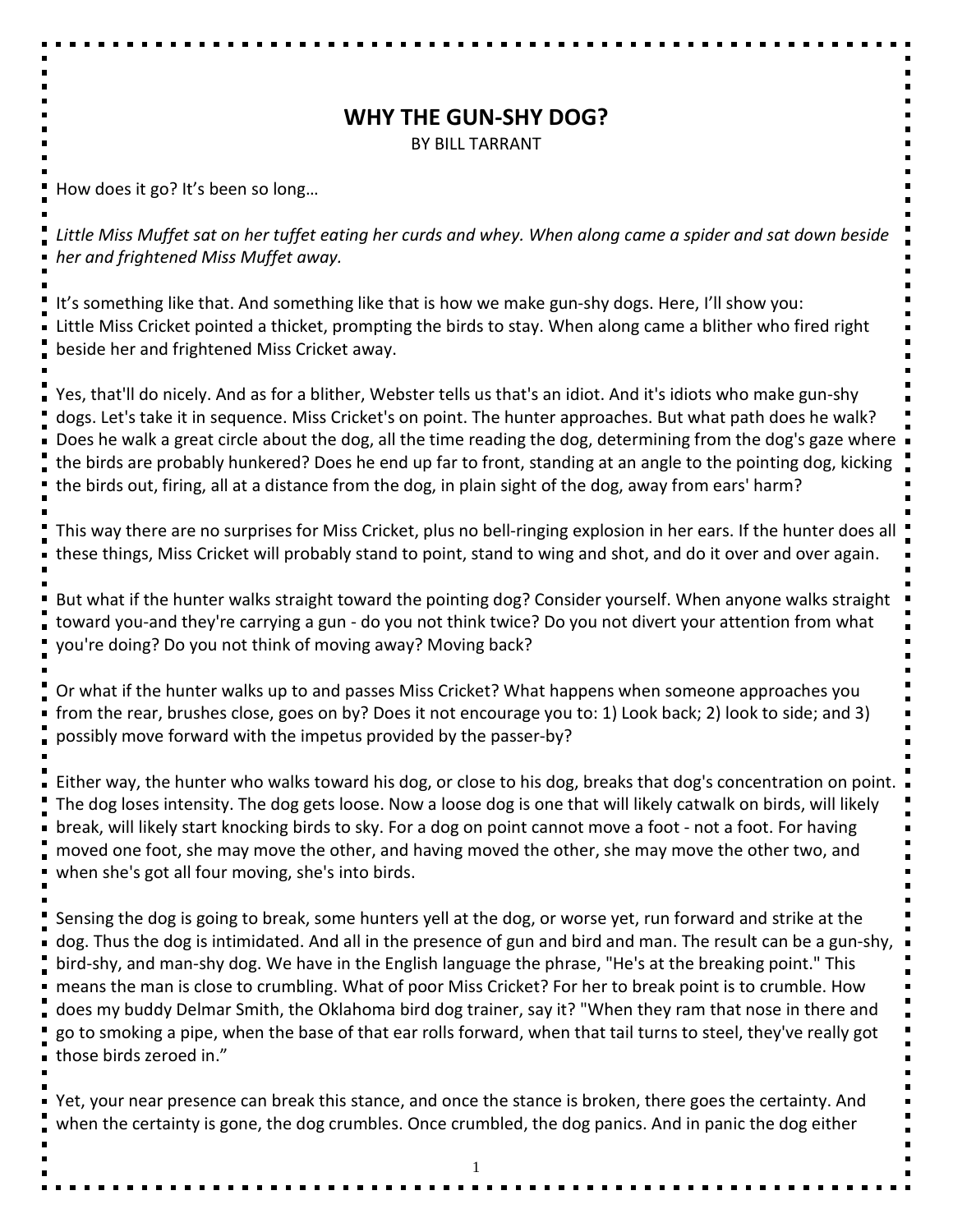## **WHY THE GUN-SHY DOG?**

BY BILL TARRANT

How does it go? It's been so long…

*Little Miss Muffet sat on her tuffet eating her curds and whey. When along came a spider and sat down beside her and frightened Miss Muffet away.*

It's something like that. And something like that is how we make gun-shy dogs. Here, I'll show you: Little Miss Cricket pointed a thicket, prompting the birds to stay. When along came a blither who fired right beside her and frightened Miss Cricket away.

Yes, that'll do nicely. And as for a blither, Webster tells us that's an idiot. And it's idiots who make gun-shy dogs. Let's take it in sequence. Miss Cricket's on point. The hunter approaches. But what path does he walk? Does he walk a great circle about the dog, all the time reading the dog, determining from the dog's gaze where the birds are probably hunkered? Does he end up far to front, standing at an angle to the pointing dog, kicking the birds out, firing, all at a distance from the dog, in plain sight of the dog, away from ears' harm?

This way there are no surprises for Miss Cricket, plus no bell-ringing explosion in her ears. If the hunter does all these things, Miss Cricket will probably stand to point, stand to wing and shot, and do it over and over again.

But what if the hunter walks straight toward the pointing dog? Consider yourself. When anyone walks straight toward you-and they're carrying a gun - do you not think twice? Do you not divert your attention from what you're doing? Do you not think of moving away? Moving back?

Or what if the hunter walks up to and passes Miss Cricket? What happens when someone approaches you from the rear, brushes close, goes on by? Does it not encourage you to: 1) Look back; 2) look to side; and 3) possibly move forward with the impetus provided by the passer-by?

Either way, the hunter who walks toward his dog, or close to his dog, breaks that dog's concentration on point. The dog loses intensity. The dog gets loose. Now a loose dog is one that will likely catwalk on birds, will likely break, will likely start knocking birds to sky. For a dog on point cannot move a foot - not a foot. For having moved one foot, she may move the other, and having moved the other, she may move the other two, and when she's got all four moving, she's into birds.

Sensing the dog is going to break, some hunters yell at the dog, or worse yet, run forward and strike at the dog. Thus the dog is intimidated. And all in the presence of gun and bird and man. The result can be a gun-shy, bird-shy, and man-shy dog. We have in the English language the phrase, "He's at the breaking point." This means the man is close to crumbling. What of poor Miss Cricket? For her to break point is to crumble. How does my buddy Delmar Smith, the Oklahoma bird dog trainer, say it? "When they ram that nose in there and go to smoking a pipe, when the base of that ear rolls forward, when that tail turns to steel, they've really got those birds zeroed in."

Yet, your near presence can break this stance, and once the stance is broken, there goes the certainty. And when the certainty is gone, the dog crumbles. Once crumbled, the dog panics. And in panic the dog either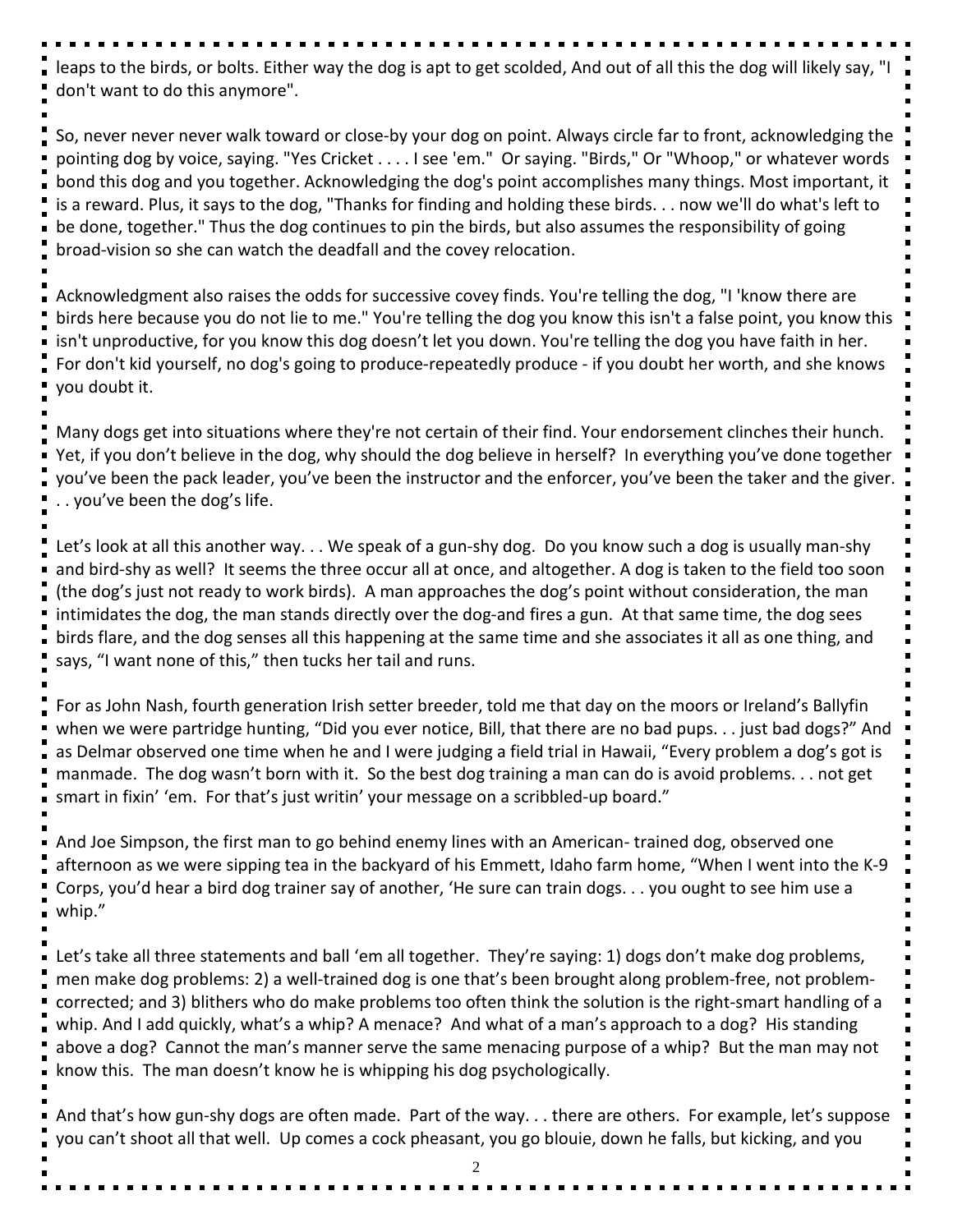leaps to the birds, or bolts. Either way the dog is apt to get scolded, And out of all this the dog will likely say, "I don't want to do this anymore".

So, never never never walk toward or close-by your dog on point. Always circle far to front, acknowledging the pointing dog by voice, saying. "Yes Cricket . . . . I see 'em." Or saying. "Birds," Or "Whoop," or whatever words bond this dog and you together. Acknowledging the dog's point accomplishes many things. Most important, it is a reward. Plus, it says to the dog, "Thanks for finding and holding these birds. . . now we'll do what's left to be done, together." Thus the dog continues to pin the birds, but also assumes the responsibility of going broad-vision so she can watch the deadfall and the covey relocation.

Acknowledgment also raises the odds for successive covey finds. You're telling the dog, "I 'know there are birds here because you do not lie to me." You're telling the dog you know this isn't a false point, you know this isn't unproductive, for you know this dog doesn't let you down. You're telling the dog you have faith in her. For don't kid yourself, no dog's going to produce-repeatedly produce - if you doubt her worth, and she knows you doubt it.

Many dogs get into situations where they're not certain of their find. Your endorsement clinches their hunch. Yet, if you don't believe in the dog, why should the dog believe in herself? In everything you've done together you've been the pack leader, you've been the instructor and the enforcer, you've been the taker and the giver. . . you've been the dog's life.

Let's look at all this another way. . . We speak of a gun-shy dog. Do you know such a dog is usually man-shy and bird-shy as well? It seems the three occur all at once, and altogether. A dog is taken to the field too soon (the dog's just not ready to work birds). A man approaches the dog's point without consideration, the man intimidates the dog, the man stands directly over the dog-and fires a gun. At that same time, the dog sees birds flare, and the dog senses all this happening at the same time and she associates it all as one thing, and says, "I want none of this," then tucks her tail and runs.

For as John Nash, fourth generation Irish setter breeder, told me that day on the moors or Ireland's Ballyfin when we were partridge hunting, "Did you ever notice, Bill, that there are no bad pups. . . just bad dogs?" And as Delmar observed one time when he and I were judging a field trial in Hawaii, "Every problem a dog's got is manmade. The dog wasn't born with it. So the best dog training a man can do is avoid problems. . . not get smart in fixin' 'em. For that's just writin' your message on a scribbled-up board."

And Joe Simpson, the first man to go behind enemy lines with an American- trained dog, observed one afternoon as we were sipping tea in the backyard of his Emmett, Idaho farm home, "When I went into the K-9 Corps, you'd hear a bird dog trainer say of another, 'He sure can train dogs. . . you ought to see him use a whip."

Let's take all three statements and ball 'em all together. They're saying: 1) dogs don't make dog problems, men make dog problems: 2) a well-trained dog is one that's been brought along problem-free, not problemcorrected; and 3) blithers who do make problems too often think the solution is the right-smart handling of a whip. And I add quickly, what's a whip? A menace? And what of a man's approach to a dog? His standing above a dog? Cannot the man's manner serve the same menacing purpose of a whip? But the man may not know this. The man doesn't know he is whipping his dog psychologically.

And that's how gun-shy dogs are often made. Part of the way. . . there are others. For example, let's suppose you can't shoot all that well. Up comes a cock pheasant, you go blouie, down he falls, but kicking, and you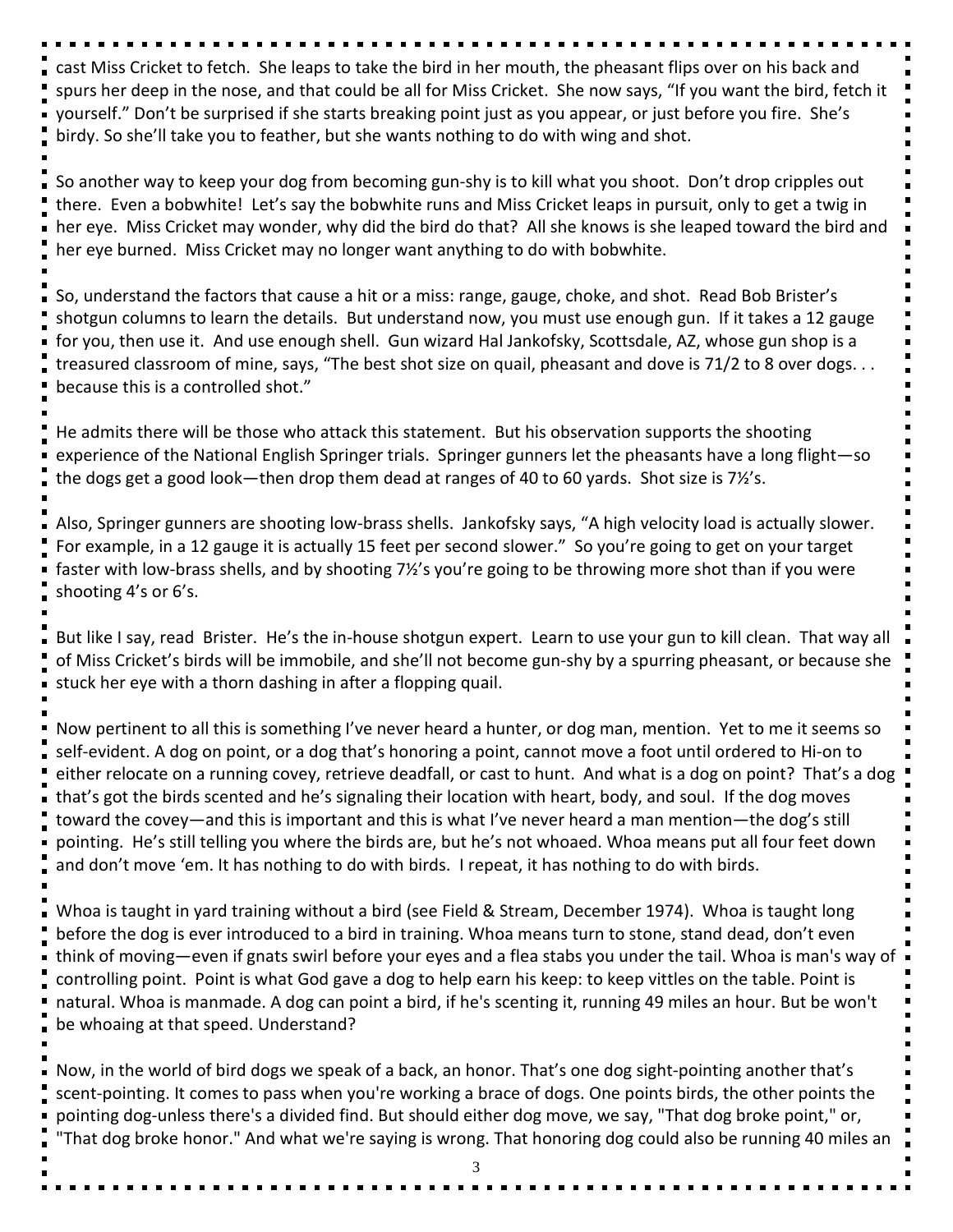cast Miss Cricket to fetch. She leaps to take the bird in her mouth, the pheasant flips over on his back and spurs her deep in the nose, and that could be all for Miss Cricket. She now says, "If you want the bird, fetch it yourself." Don't be surprised if she starts breaking point just as you appear, or just before you fire. She's birdy. So she'll take you to feather, but she wants nothing to do with wing and shot.

So another way to keep your dog from becoming gun-shy is to kill what you shoot. Don't drop cripples out there. Even a bobwhite! Let's say the bobwhite runs and Miss Cricket leaps in pursuit, only to get a twig in her eye. Miss Cricket may wonder, why did the bird do that? All she knows is she leaped toward the bird and her eye burned. Miss Cricket may no longer want anything to do with bobwhite.

So, understand the factors that cause a hit or a miss: range, gauge, choke, and shot. Read Bob Brister's shotgun columns to learn the details. But understand now, you must use enough gun. If it takes a 12 gauge for you, then use it. And use enough shell. Gun wizard Hal Jankofsky, Scottsdale, AZ, whose gun shop is a treasured classroom of mine, says, "The best shot size on quail, pheasant and dove is 71/2 to 8 over dogs. . . because this is a controlled shot."

He admits there will be those who attack this statement. But his observation supports the shooting experience of the National English Springer trials. Springer gunners let the pheasants have a long flight—so the dogs get a good look—then drop them dead at ranges of 40 to 60 yards. Shot size is 7½'s.

Also, Springer gunners are shooting low-brass shells. Jankofsky says, "A high velocity load is actually slower. For example, in a 12 gauge it is actually 15 feet per second slower." So you're going to get on your target faster with low-brass shells, and by shooting 7½'s you're going to be throwing more shot than if you were shooting 4's or 6's.

But like I say, read Brister. He's the in-house shotgun expert. Learn to use your gun to kill clean. That way all of Miss Cricket's birds will be immobile, and she'll not become gun-shy by a spurring pheasant, or because she stuck her eye with a thorn dashing in after a flopping quail.

Now pertinent to all this is something I've never heard a hunter, or dog man, mention. Yet to me it seems so self-evident. A dog on point, or a dog that's honoring a point, cannot move a foot until ordered to Hi-on to either relocate on a running covey, retrieve deadfall, or cast to hunt. And what is a dog on point? That's a dog that's got the birds scented and he's signaling their location with heart, body, and soul. If the dog moves toward the covey—and this is important and this is what I've never heard a man mention—the dog's still pointing. He's still telling you where the birds are, but he's not whoaed. Whoa means put all four feet down and don't move 'em. It has nothing to do with birds. I repeat, it has nothing to do with birds.

Whoa is taught in yard training without a bird (see Field & Stream, December 1974). Whoa is taught long before the dog is ever introduced to a bird in training. Whoa means turn to stone, stand dead, don't even think of moving—even if gnats swirl before your eyes and a flea stabs you under the tail. Whoa is man's way of controlling point. Point is what God gave a dog to help earn his keep: to keep vittles on the table. Point is natural. Whoa is manmade. A dog can point a bird, if he's scenting it, running 49 miles an hour. But be won't be whoaing at that speed. Understand?

Now, in the world of bird dogs we speak of a back, an honor. That's one dog sight-pointing another that's scent-pointing. It comes to pass when you're working a brace of dogs. One points birds, the other points the pointing dog-unless there's a divided find. But should either dog move, we say, "That dog broke point," or, "That dog broke honor." And what we're saying is wrong. That honoring dog could also be running 40 miles an